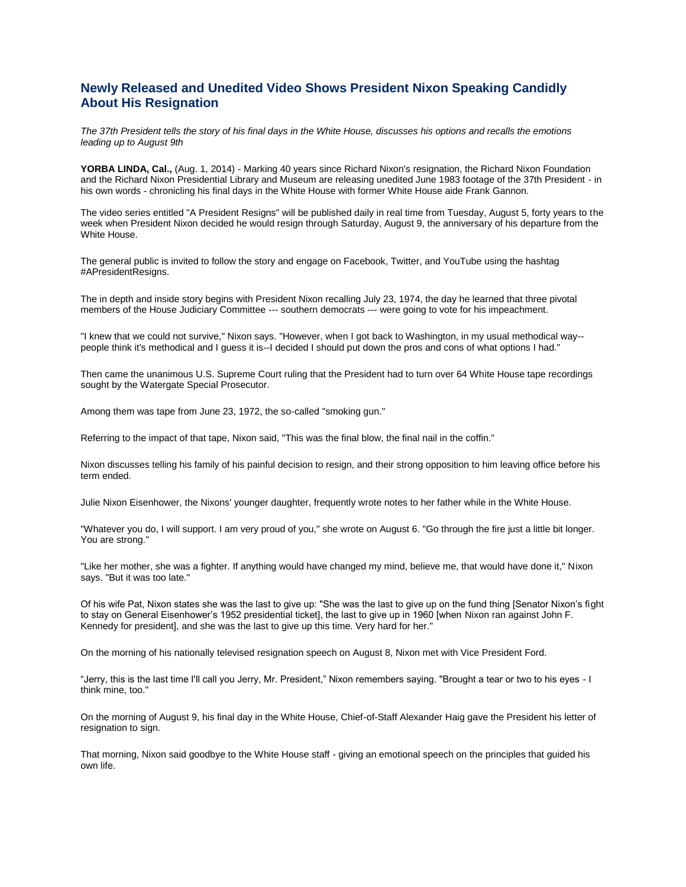## **Newly Released and Unedited Video Shows President Nixon Speaking Candidly About His Resignation**

*The 37th President tells the story of his final days in the White House, discusses his options and recalls the emotions leading up to August 9th*

**YORBA LINDA, Cal.,** (Aug. 1, 2014) - Marking 40 years since Richard Nixon's resignation, the Richard Nixon Foundation and the Richard Nixon Presidential Library and Museum are releasing unedited June 1983 footage of the 37th President - in his own words - chronicling his final days in the White House with former White House aide Frank Gannon.

The video series entitled "A President Resigns" will be published daily in real time from Tuesday, August 5, forty years to the week when President Nixon decided he would resign through Saturday, August 9, the anniversary of his departure from the White House.

The general public is invited to follow the story and engage on Facebook, Twitter, and YouTube using the hashtag #APresidentResigns.

The in depth and inside story begins with President Nixon recalling July 23, 1974, the day he learned that three pivotal members of the House Judiciary Committee --- southern democrats --- were going to vote for his impeachment.

"I knew that we could not survive," Nixon says. "However, when I got back to Washington, in my usual methodical way- people think it's methodical and I guess it is--I decided I should put down the pros and cons of what options I had."

Then came the unanimous U.S. Supreme Court ruling that the President had to turn over 64 White House tape recordings sought by the Watergate Special Prosecutor.

Among them was tape from June 23, 1972, the so-called "smoking gun."

Referring to the impact of that tape, Nixon said, "This was the final blow, the final nail in the coffin."

Nixon discusses telling his family of his painful decision to resign, and their strong opposition to him leaving office before his term ended.

Julie Nixon Eisenhower, the Nixons' younger daughter, frequently wrote notes to her father while in the White House.

"Whatever you do, I will support. I am very proud of you," she wrote on August 6. "Go through the fire just a little bit longer. You are strong."

"Like her mother, she was a fighter. If anything would have changed my mind, believe me, that would have done it," Nixon says. "But it was too late."

Of his wife Pat, Nixon states she was the last to give up: "She was the last to give up on the fund thing [Senator Nixon's fight to stay on General Eisenhower's 1952 presidential ticket], the last to give up in 1960 [when Nixon ran against John F. Kennedy for president], and she was the last to give up this time. Very hard for her."

On the morning of his nationally televised resignation speech on August 8, Nixon met with Vice President Ford.

"Jerry, this is the last time I'll call you Jerry, Mr. President," Nixon remembers saying. "Brought a tear or two to his eyes - I think mine, too."

On the morning of August 9, his final day in the White House, Chief-of-Staff Alexander Haig gave the President his letter of resignation to sign.

That morning, Nixon said goodbye to the White House staff - giving an emotional speech on the principles that guided his own life.